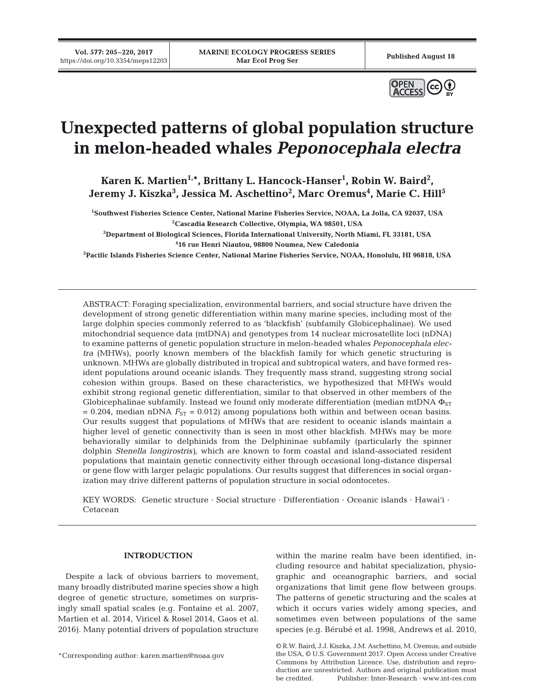**Vol. 577: 205–220, 2017**



# **Unexpected patterns of global population structure in melon-headed whales** *Peponocephala electra*

**Karen K. Martien1,\*, Brittany L. Hancock-Hanser1 , Robin W. Baird2 ,**  Jeremy J. Kiszka<sup>3</sup>, Jessica M. Aschettino<sup>2</sup>, Marc Oremus<sup>4</sup>, Marie C. Hill<sup>5</sup>

**1 Southwest Fisheries Science Center, National Marine Fisheries Service, NOAA, La Jolla, CA 92037, USA 2Cascadia Research Collective, Olympia, WA 98501, USA**

**3 Department of Biological Sciences, Florida International University, North Miami, FL 33181, USA 4 16 rue Henri Niautou, 98800 Noumea, New Caledonia**

**5Pacific Islands Fisheries Science Center, National Marine Fisheries Service, NOAA, Honolulu, HI 96818, USA**

ABSTRACT: Foraging specialization, environmental barriers, and social structure have driven the development of strong genetic differentiation within many marine species, including most of the large dolphin species commonly referred to as 'blackfish' (subfamily Globicephalinae). We used mitochondrial sequence data (mtDNA) and genotypes from 14 nuclear microsatellite loci (nDNA) to examine patterns of genetic population structure in melon-headed whales *Peponocephala electra* (MHWs), poorly known members of the blackfish family for which genetic structuring is unknown. MHWs are globally distributed in tropical and subtropical waters, and have formed resident populations around oceanic islands. They frequently mass strand, suggesting strong social cohesion within groups. Based on these characteristics, we hypothesized that MHWs would exhibit strong regional genetic differentiation, similar to that observed in other members of the Globicephalinae subfamily. Instead we found only moderate differentiation (median mtDNA  $\Phi_{ST}$  $= 0.204$ , median nDNA  $F_{ST} = 0.012$ ) among populations both within and between ocean basins. Our results suggest that populations of MHWs that are resident to oceanic islands maintain a higher level of genetic connectivity than is seen in most other blackfish. MHWs may be more behaviorally similar to delphinids from the Delphininae subfamily (particularly the spinner dolphin *Stenella longirostris)*, which are known to form coastal and island-associated resident populations that maintain genetic connectivity either through occasional long-distance dispersal or gene flow with larger pelagic populations. Our results suggest that differences in social organization may drive different patterns of population structure in social odontocetes.

KEY WORDS: Genetic structure · Social structure · Differentiation · Oceanic islands · Hawai'i · Cetacean

### **INTRODUCTION**

Despite a lack of obvious barriers to movement, many broadly distributed marine species show a high degree of genetic structure, sometimes on surprisingly small spatial scales (e.g. Fontaine et al. 2007, Martien et al. 2014, Viricel & Rosel 2014, Gaos et al. 2016). Many potential drivers of population structure

\*Corresponding author: karen.martien@noaa.gov

within the marine realm have been identified, including resource and habitat specialization, physiographic and oceanographic barriers, and social organizations that limit gene flow between groups. The patterns of genetic structuring and the scales at which it occurs varies widely among species, and sometimes even between populations of the same species (e.g. Bérubé et al. 1998, Andrews et al. 2010,

© R.W. Baird, J.J. Kiszka, J.M. Aschettino, M. Oremus; and outside the USA, © U.S. Government 2017. Open Access under Creative Commons by Attribution Licence. Use, distribution and reproduction are unrestricted. Authors and original publication must be credited. Publisher: Inter-Research · www.int-res.com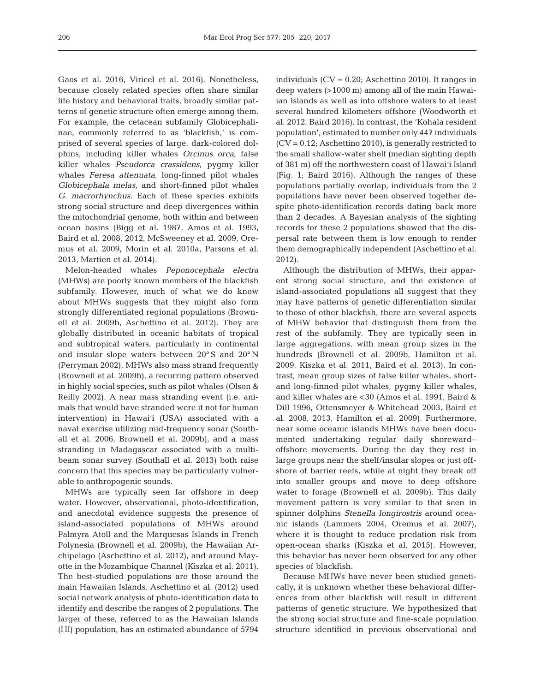Gaos et al. 2016, Viricel et al. 2016). Nonetheless, because closely related species often share similar life history and behavioral traits, broadly similar patterns of genetic structure often emerge among them. For example, the cetacean subfamily Globicephalinae, commonly referred to as 'blackfish,' is comprised of several species of large, dark-colored dolphins, including killer whales *Orcinus orca*, false killer whales *Pseudorca crassidens*, pygmy killer whales *Feresa attenuata*, long-finned pilot whales *Globicephala melas*, and short-finned pilot whales *G. macrorhynchus*. Each of these species exhibits strong social structure and deep divergences within the mitochondrial genome, both within and between ocean basins (Bigg et al. 1987, Amos et al. 1993, Baird et al. 2008, 2012, McSweeney et al. 2009, Oremus et al. 2009, Morin et al. 2010a, Parsons et al. 2013, Martien et al. 2014).

Melon-headed whales *Peponocephala electra* (MHWs) are poorly known members of the blackfish subfamily. However, much of what we do know about MHWs suggests that they might also form strongly differentiated regional populations (Brown ell et al. 2009b, Aschettino et al. 2012). They are globally distributed in oceanic habitats of tropical and subtropical waters, particularly in continental and insular slope waters between 20° S and 20° N (Perryman 2002). MHWs also mass strand frequently (Brownell et al. 2009b), a recurring pattern observed in highly social species, such as pilot whales (Olson & Reilly 2002). A near mass stranding event (i.e. animals that would have stranded were it not for human intervention) in Hawai'i (USA) associated with a naval exercise utilizing mid-frequency sonar (South all et al. 2006, Brownell et al. 2009b), and a mass stranding in Madagascar associated with a multibeam sonar survey (Southall et al. 2013) both raise concern that this species may be particularly vulnerable to anthropogenic sounds.

MHWs are typically seen far offshore in deep water. However, observational, photo-identification, and anecdotal evidence suggests the presence of island- associated populations of MHWs around Palmyra Atoll and the Marquesas Islands in French Polynesia (Brownell et al. 2009b), the Hawaiian Archipelago (Aschettino et al. 2012), and around Mayotte in the Mozambique Channel (Kiszka et al. 2011). The best-studied populations are those around the main Hawaiian Islands. Aschettino et al. (2012) used social network analysis of photo-identification data to identify and describe the ranges of 2 populations. The larger of these, referred to as the Hawaiian Islands (HI) population, has an estimated abundance of 5794 individuals  $(CV = 0.20;$  Aschettino 2010). It ranges in deep waters (>1000 m) among all of the main Hawaiian Islands as well as into offshore waters to at least several hundred kilometers offshore (Woodworth et al. 2012, Baird 2016). In contrast, the 'Kohala resident population', estimated to number only 447 individuals (CV = 0.12; Aschettino 2010), is generally restricted to the small shallow-water shelf (median sighting depth of 381 m) off the northwestern coast of Hawai'i Island (Fig. 1; Baird 2016). Although the ranges of these populations partially overlap, individuals from the 2 populations have never been observed together despite photo-identification records dating back more than 2 decades. A Bayesian analysis of the sighting records for these 2 populations showed that the dispersal rate between them is low enough to render them demographically independent (Aschettino et al. 2012).

Although the distribution of MHWs, their apparent strong social structure, and the existence of island- associated populations all suggest that they may have patterns of genetic differentiation similar to those of other blackfish, there are several aspects of MHW behavior that distinguish them from the rest of the subfamily. They are typically seen in large aggregations, with mean group sizes in the hundreds (Brownell et al. 2009b, Hamilton et al. 2009, Kiszka et al. 2011, Baird et al. 2013). In contrast, mean group sizes of false killer whales, shortand long-finned pilot whales, pygmy killer whales, and killer whales are <30 (Amos et al. 1991, Baird & Dill 1996, Ottensmeyer & Whitehead 2003, Baird et al. 2008, 2013, Hamilton et al. 2009). Furthermore, near some oceanic islands MHWs have been documented undertaking regular daily shoreward− offshore movements. During the day they rest in large groups near the shelf/insular slopes or just offshore of barrier reefs, while at night they break off into smaller groups and move to deep offshore water to forage (Brownell et al. 2009b). This daily movement pattern is very similar to that seen in spinner dolphins *Stenella longirostris* around ocea nic islands (Lammers 2004, Oremus et al. 2007), where it is thought to reduce predation risk from open-ocean sharks (Kiszka et al. 2015). However, this behavior has never been observed for any other species of blackfish.

Because MHWs have never been studied genetically, it is unknown whether these behavioral differences from other blackfish will result in different patterns of genetic structure. We hypothesized that the strong social structure and fine-scale population structure identified in previous observational and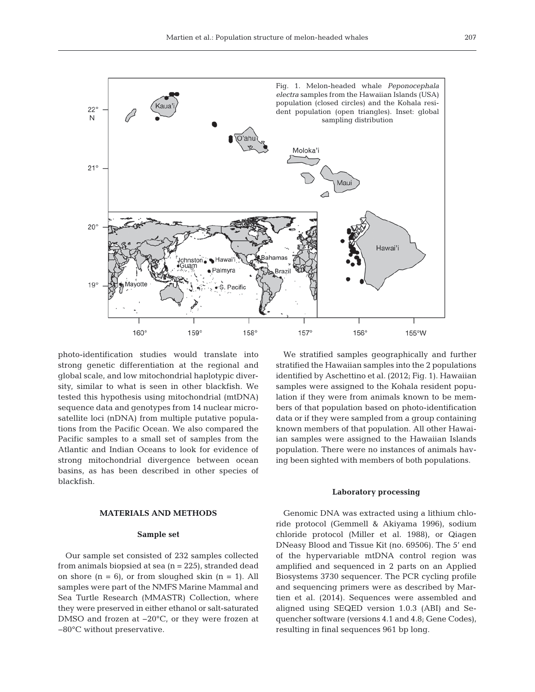

photo-identification studies would translate into strong genetic differentiation at the regional and global scale, and low mitochondrial haplotypic diversity, similar to what is seen in other blackfish. We tested this hypothesis using mitochondrial (mtDNA) sequence data and genotypes from 14 nuclear microsatellite loci (nDNA) from multiple putative populations from the Pacific Ocean. We also compared the Pacific samples to a small set of samples from the Atlantic and Indian Oceans to look for evidence of strong mitochondrial divergence between ocean basins, as has been described in other species of blackfish.

# **MATERIALS AND METHODS**

#### **Sample set**

Our sample set consisted of 232 samples collected from animals biopsied at sea  $(n = 225)$ , stranded dead on shore  $(n = 6)$ , or from sloughed skin  $(n = 1)$ . All samples were part of the NMFS Marine Mammal and Sea Turtle Research (MMASTR) Collection, where they were preserved in either ethanol or salt-saturated DMSO and frozen at −20°C, or they were frozen at −80°C without preservative.

We stratified samples geographically and further stratified the Hawaiian samples into the 2 populations identified by Aschettino et al. (2012; Fig. 1). Hawaiian samples were assigned to the Kohala resident population if they were from animals known to be members of that population based on photo-identification data or if they were sampled from a group containing known members of that population. All other Hawaiian samples were assigned to the Hawaiian Islands population. There were no instances of animals having been sighted with members of both populations.

### **Laboratory processing**

Genomic DNA was extracted using a lithium chloride protocol (Gemmell & Akiyama 1996), sodium chloride protocol (Miller et al. 1988), or Qiagen DNeasy Blood and Tissue Kit (no. 69506). The 5' end of the hypervariable mtDNA control region was amplified and sequenced in 2 parts on an Applied Biosystems 3730 sequencer. The PCR cycling profile and sequencing primers were as described by Martien et al. (2014). Sequences were assembled and aligned using SEQED version 1.0.3 (ABI) and Se quencher software (versions 4.1 and 4.8; Gene Codes), resulting in final sequences 961 bp long.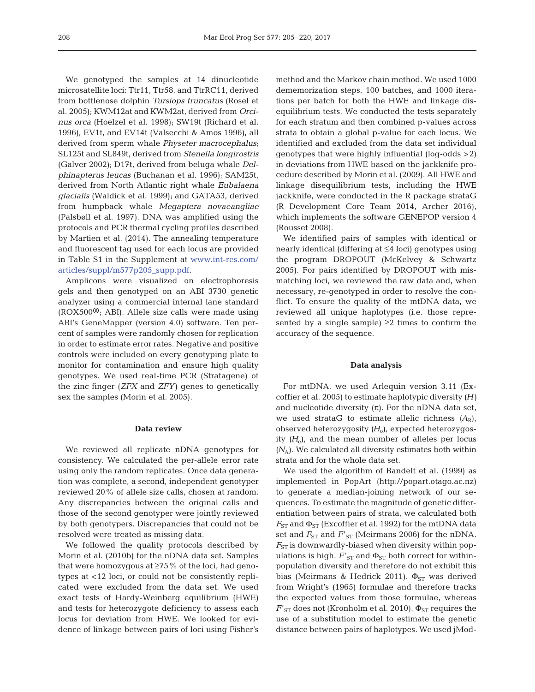We genotyped the samples at 14 dinucleotide microsatellite loci: Ttr11, Ttr58, and TtrRC11, derived from bottlenose dolphin *Tursiops truncatus* (Rosel et al. 2005); KWM12at and KWM2at, derived from *Orcinus orca* (Hoelzel et al. 1998); SW19t (Richard et al. 1996), EV1t, and EV14t (Valsecchi & Amos 1996), all derived from sperm whale *Physeter macrocephalus*; SL125t and SL849t, derived from *Stenella longirostris* (Galver 2002); D17t, derived from beluga whale *Delphinapterus leucas* (Buchanan et al. 1996); SAM25t, derived from North Atlantic right whale *Eubalaena glacialis* (Waldick et al. 1999); and GATA53, derived from humpback whale *Megaptera novaeangliae* (Palsbøll et al. 1997). DNA was amplified using the protocols and PCR thermal cycling profiles described by Martien et al. (2014). The annealing temperature and fluorescent tag used for each locus are provided in Table S1 in the Supplement at www. int-res. com/ articles/suppl/m577p205\_supp.pdf.

Amplicons were visualized on electrophoresis gels and then genotyped on an ABI 3730 genetic analyzer using a commercial internal lane standard  $(ROX500<sup>®</sup>)$ ; ABI). Allele size calls were made using ABI's GeneMapper (version 4.0) software. Ten percent of samples were randomly chosen for replication in order to estimate error rates. Negative and positive controls were included on every genotyping plate to monitor for contamination and ensure high quality genotypes. We used real-time PCR (Stratagene) of the zinc finger (*ZFX* and *ZFY*) genes to genetically sex the samples (Morin et al. 2005).

#### **Data review**

We reviewed all replicate nDNA genotypes for consistency. We calculated the per-allele error rate using only the random replicates. Once data generation was complete, a second, independent genotyper reviewed 20% of allele size calls, chosen at random. Any discrepancies between the original calls and those of the second genotyper were jointly reviewed by both genotypers. Discrepancies that could not be resolved were treated as missing data.

We followed the quality protocols described by Morin et al. (2010b) for the nDNA data set. Samples that were homozygous at ≥75% of the loci, had genotypes at <12 loci, or could not be consistently replicated were excluded from the data set. We used exact tests of Hardy-Weinberg equilibrium (HWE) and tests for heterozygote deficiency to assess each locus for deviation from HWE. We looked for evidence of linkage between pairs of loci using Fisher's method and the Markov chain method. We used 1000 dememorization steps, 100 batches, and 1000 iterations per batch for both the HWE and linkage disequilibrium tests. We conducted the tests separately for each stratum and then combined p-values across strata to obtain a global p-value for each locus. We identified and excluded from the data set individual genotypes that were highly influential (log-odds >2) in deviations from HWE based on the jackknife procedure described by Morin et al. (2009). All HWE and linkage disequilibrium tests, including the HWE jackknife, were conducted in the R package strataG (R Development Core Team 2014, Archer 2016), which implements the software GENEPOP version 4 (Rousset 2008).

We identified pairs of samples with identical or nearly identical (differing at ≤4 loci) genotypes using the program DROPOUT (McKelvey & Schwartz 2005). For pairs identified by DROPOUT with mismatching loci, we reviewed the raw data and, when necessary, re-genotyped in order to resolve the conflict. To ensure the quality of the mtDNA data, we reviewed all unique haplotypes (i.e. those represented by a single sample)  $\geq 2$  times to confirm the accuracy of the sequence.

## **Data analysis**

For mtDNA, we used Arlequin version 3.11 (Ex coffier et al. 2005) to estimate haplotypic diversity *(H)* and nucleotide diversity  $(\pi)$ . For the nDNA data set, we used strataG to estimate allelic richness  $(A_R)$ , observed heterozygosity *(H*o), expected heterozygosity  $(H_e)$ , and the mean number of alleles per locus  $(N_A)$ . We calculated all diversity estimates both within strata and for the whole data set.

We used the algorithm of Bandelt et al. (1999) as implemented in PopArt (http://popart.otago.ac.nz) to generate a median-joining network of our se quences. To estimate the magnitude of genetic differentiation between pairs of strata, we calculated both  $F_{ST}$  and  $\Phi_{ST}$  (Excoffier et al. 1992) for the mtDNA data set and  $F_{ST}$  and  $F'_{ST}$  (Meirmans 2006) for the nDNA.  $F_{ST}$  is downwardly-biased when diversity within populations is high.  $F'_{ST}$  and  $\Phi_{ST}$  both correct for withinpopulation diversity and therefore do not exhibit this bias (Meirmans & Hedrick 2011).  $\Phi_{ST}$  was derived from Wright's (1965) formulae and therefore tracks the expected values from those formulae, whereas  $F'_{ST}$  does not (Kronholm et al. 2010).  $\Phi_{ST}$  requires the use of a substitution model to estimate the genetic distance between pairs of haplotypes. We used jMod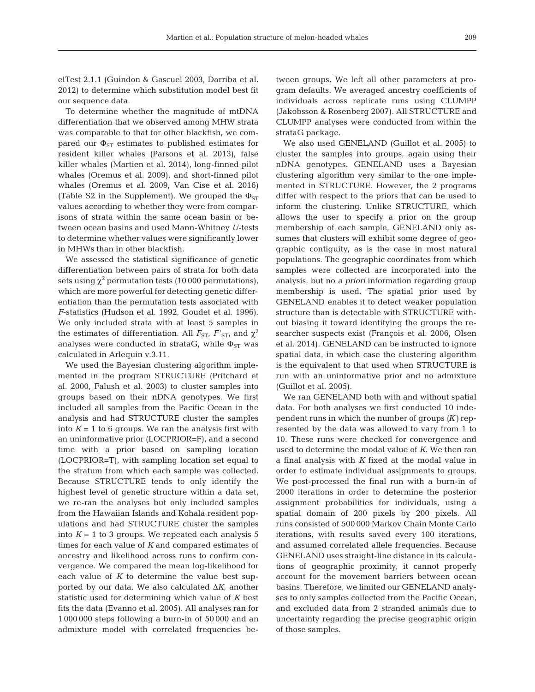elTest 2.1.1 (Guindon & Gascuel 2003, Darriba et al. 2012) to determine which substitution model best fit our sequence data.

To determine whether the magnitude of mtDNA differentiation that we observed among MHW strata was comparable to that for other blackfish, we compared our  $\Phi_{ST}$  estimates to published estimates for resident killer whales (Parsons et al. 2013), false killer whales (Martien et al. 2014), long-finned pilot whales (Oremus et al. 2009), and short-finned pilot whales (Oremus et al. 2009, Van Cise et al. 2016) (Table S2 in the Supplement). We grouped the  $\Phi_{ST}$ values according to whether they were from comparisons of strata within the same ocean basin or be tween ocean basins and used Mann-Whitney *U*-tests to determine whether values were significantly lower in MHWs than in other blackfish.

We assessed the statistical significance of genetic differentiation between pairs of strata for both data sets using  $\chi^2$  permutation tests (10000 permutations), which are more powerful for detecting genetic differentiation than the permutation tests associated with *F*-statistics (Hudson et al. 1992, Goudet et al. 1996). We only included strata with at least 5 samples in the estimates of differentiation. All  $F_{ST}$ ,  $F'_{ST}$ , and  $\chi^2$ analyses were conducted in strataG, while  $\Phi_{ST}$  was calculated in Arlequin v.3.11.

We used the Bayesian clustering algorithm implemented in the program STRUCTURE (Pritchard et al. 2000, Falush et al. 2003) to cluster samples into groups based on their nDNA genotypes. We first included all samples from the Pacific Ocean in the analysis and had STRUCTURE cluster the samples into  $K = 1$  to 6 groups. We ran the analysis first with an uninformative prior (LOCPRIOR=F), and a second time with a prior based on sampling location (LOCPRIOR=T), with sampling location set equal to the stratum from which each sample was collected. Because STRUCTURE tends to only identify the highest level of genetic structure within a data set, we re-ran the analyses but only included samples from the Hawaiian Islands and Kohala resident populations and had STRUCTURE cluster the samples into  $K = 1$  to 3 groups. We repeated each analysis 5 times for each value of *K* and compared estimates of ancestry and likelihood across runs to confirm convergence. We compared the mean log-likelihood for each value of *K* to determine the value best supported by our data. We also calculated Δ*K*, another statistic used for determining which value of *K* best fits the data (Evanno et al. 2005). All analyses ran for 1 000 000 steps following a burn-in of 50 000 and an admixture model with correlated frequencies be -

tween groups. We left all other parameters at program defaults. We averaged ancestry coefficients of in dividuals across replicate runs using CLUMPP (Jakobsson & Rosenberg 2007). All STRUCTURE and CLUMPP analyses were conducted from within the strataG package.

We also used GENELAND (Guillot et al. 2005) to cluster the samples into groups, again using their nDNA genotypes. GENELAND uses a Bayesian clustering algorithm very similar to the one implemented in STRUCTURE. However, the 2 programs differ with respect to the priors that can be used to inform the clustering. Unlike STRUCTURE, which allows the user to specify a prior on the group membership of each sample, GENELAND only assumes that clusters will exhibit some degree of geographic contiguity, as is the case in most natural populations. The geographic coordinates from which samples were collected are incorporated into the analysis, but no *a priori* information regarding group membership is used. The spatial prior used by GENELAND enables it to detect weaker population structure than is detectable with STRUCTURE without biasing it toward identifying the groups the re searcher suspects exist (François et al. 2006, Olsen et al. 2014). GENELAND can be instructed to ignore spatial data, in which case the clustering algorithm is the equivalent to that used when STRUCTURE is run with an uninformative prior and no admixture (Guillot et al. 2005).

We ran GENELAND both with and without spatial data. For both analyses we first conducted 10 independent runs in which the number of groups *(K)* represented by the data was allowed to vary from 1 to 10. These runs were checked for convergence and used to determine the modal value of *K*. We then ran a final analysis with *K* fixed at the modal value in order to estimate individual assignments to groups. We post-processed the final run with a burn-in of 2000 iterations in order to determine the posterior assignment probabilities for individuals, using a spatial domain of 200 pixels by 200 pixels. All runs consisted of 500 000 Markov Chain Monte Carlo iterations, with results saved every 100 iterations, and assumed correlated allele frequencies. Because GENELAND uses straight-line distance in its calculations of geographic proximity, it cannot properly account for the movement barriers between ocean basins. Therefore, we limited our GENELAND analyses to only samples collected from the Pacific Ocean, and excluded data from 2 stranded animals due to uncertainty regarding the precise geographic origin of those samples.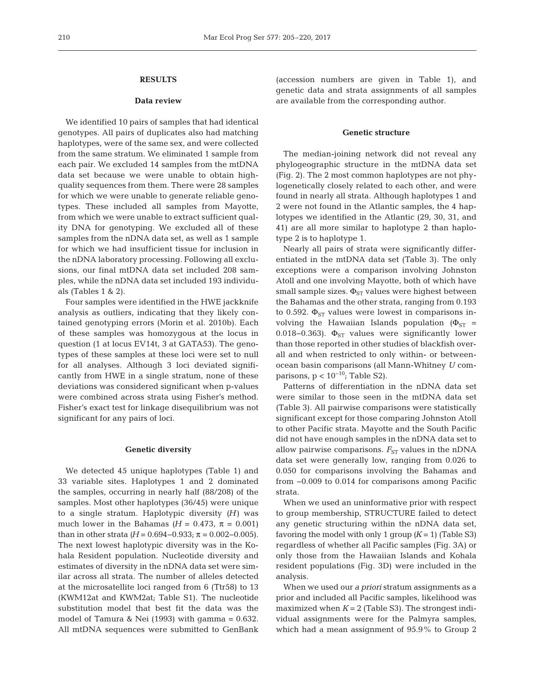# **RESULTS**

## **Data review**

We identified 10 pairs of samples that had identical genotypes. All pairs of duplicates also had matching haplotypes, were of the same sex, and were collected from the same stratum. We eliminated 1 sample from each pair. We excluded 14 samples from the mtDNA data set because we were unable to obtain highquality sequences from them. There were 28 samples for which we were unable to generate reliable genotypes. These included all samples from Mayotte, from which we were unable to extract sufficient quality DNA for genotyping. We excluded all of these samples from the nDNA data set, as well as 1 sample for which we had insufficient tissue for inclusion in the nDNA laboratory processing. Following all exclusions, our final mtDNA data set included 208 samples, while the nDNA data set included 193 individuals (Tables 1 & 2).

Four samples were identified in the HWE jackknife analysis as outliers, indicating that they likely contained genotyping errors (Morin et al. 2010b). Each of these samples was homozygous at the locus in question (1 at locus EV14t, 3 at GATA53). The genotypes of these samples at these loci were set to null for all analyses. Although 3 loci deviated significantly from HWE in a single stratum, none of these de viations was considered significant when p-values were combined across strata using Fisher's method. Fisher's exact test for linkage disequilibrium was not significant for any pairs of loci.

## **Genetic diversity**

We detected 45 unique haplotypes (Table 1) and 33 variable sites. Haplotypes 1 and 2 dominated the samples, occurring in nearly half (88/208) of the samples. Most other haplotypes (36/45) were unique to a single stratum. Haplotypic diversity *(H)* was much lower in the Bahamas ( $H = 0.473$ ,  $\pi = 0.001$ ) than in other strata *(H* = 0.694–0.933; π = 0.002–0.005). The next lowest haplotypic diversity was in the Kohala Resident population. Nucleotide diversity and estimates of diversity in the nDNA data set were similar across all strata. The number of alleles detected at the microsatellite loci ranged from 6 (Ttr58) to 13 (KWM12at and KWM2at; Table S1). The nucleotide substitution model that best fit the data was the model of Tamura & Nei (1993) with gamma = 0.632. All mtDNA sequences were submitted to GenBank (accession numbers are given in Table 1), and genetic data and strata assignments of all samples are available from the corresponding author.

## **Genetic structure**

The median-joining network did not reveal any phylogeographic structure in the mtDNA data set (Fig. 2). The 2 most common haplotypes are not phylogenetically closely related to each other, and were found in nearly all strata. Although haplotypes 1 and 2 were not found in the Atlantic samples, the 4 haplotypes we identified in the Atlantic (29, 30, 31, and 41) are all more similar to haplotype 2 than haplotype 2 is to haplotype 1.

Nearly all pairs of strata were significantly differentiated in the mtDNA data set (Table 3). The only exceptions were a comparison involving Johnston Atoll and one involving Mayotte, both of which have small sample sizes.  $\Phi_{ST}$  values were highest between the Bahamas and the other strata, ranging from 0.193 to 0.592.  $\Phi_{ST}$  values were lowest in comparisons involving the Hawaiian Islands population ( $\Phi_{ST}$  = 0.018–0.363).  $\Phi_{ST}$  values were significantly lower than those reported in other studies of blackfish overall and when restricted to only within- or betweenocean basin comparisons (all Mann-Whitney *U* comparisons,  $p < 10^{-10}$ ; Table S2).

Patterns of differentiation in the nDNA data set were similar to those seen in the mtDNA data set (Table 3). All pairwise comparisons were statistically significant except for those comparing Johnston Atoll to other Pacific strata. Mayotte and the South Pacific did not have enough samples in the nDNA data set to allow pairwise comparisons.  $F_{ST}$  values in the nDNA data set were generally low, ranging from 0.026 to 0.050 for comparisons involving the Bahamas and from −0.009 to 0.014 for comparisons among Pacific strata.

When we used an uninformative prior with respect to group membership, STRUCTURE failed to detect any genetic structuring within the nDNA data set, favoring the model with only 1 group  $(K = 1)$  (Table S3) regardless of whether all Pacific samples (Fig. 3A) or only those from the Hawaiian Islands and Kohala resident populations (Fig. 3D) were included in the analysis.

When we used our *a priori* stratum assignments as a prior and included all Pacific samples, likelihood was maximized when  $K = 2$  (Table S3). The strongest individual assignments were for the Palmyra samples, which had a mean assignment of 95.9% to Group 2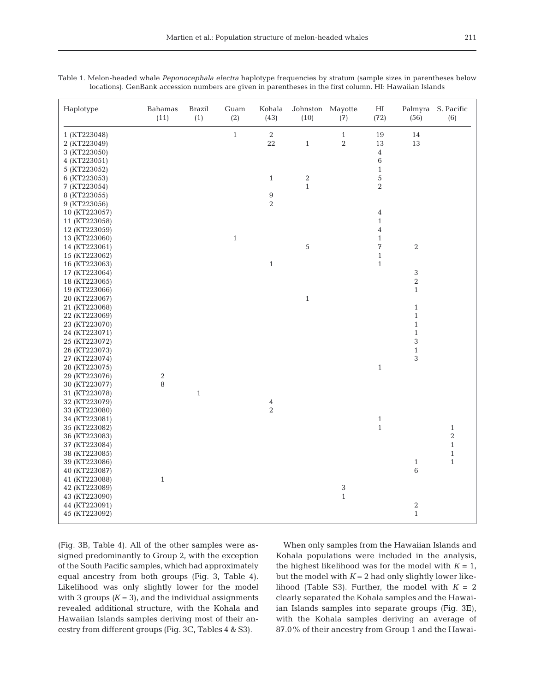| Haplotype     | Bahamas<br>(11)  | <b>Brazil</b><br>(1) | Guam<br>(2) | Kohala<br>(43)          | Johnston Mayotte<br>(10) | (7)            | HI<br>(72)     | (56)         | Palmyra S. Pacific<br>(6) |
|---------------|------------------|----------------------|-------------|-------------------------|--------------------------|----------------|----------------|--------------|---------------------------|
| 1 (KT223048)  |                  |                      | $1\,$       | 2                       |                          | $\mathbf{1}$   | 19             | 14           |                           |
| 2 (KT223049)  |                  |                      |             | 22                      | $\mathbf{1}$             | $\overline{2}$ | 13             | 13           |                           |
| 3 (KT223050)  |                  |                      |             |                         |                          |                | $\sqrt{4}$     |              |                           |
| 4 (KT223051)  |                  |                      |             |                         |                          |                | $\,6\,$        |              |                           |
| 5 (KT223052)  |                  |                      |             |                         |                          |                | $\,1\,$        |              |                           |
| 6 (KT223053)  |                  |                      |             | $\mathbf{1}$            | $\,2$                    |                | $\sqrt{5}$     |              |                           |
| 7 (KT223054)  |                  |                      |             |                         | $\,1\,$                  |                | $\,2$          |              |                           |
| 8 (KT223055)  |                  |                      |             | 9                       |                          |                |                |              |                           |
| 9 (KT223056)  |                  |                      |             | $\overline{2}$          |                          |                |                |              |                           |
| 10 (KT223057) |                  |                      |             |                         |                          |                | $\bf{4}$       |              |                           |
| 11 (KT223058) |                  |                      |             |                         |                          |                | $\mathbf{1}$   |              |                           |
| 12 (KT223059) |                  |                      |             |                         |                          |                | $\overline{4}$ |              |                           |
| 13 (KT223060) |                  |                      | $1\,$       |                         |                          |                | $\mathbf{1}$   |              |                           |
| 14 (KT223061) |                  |                      |             |                         | 5                        |                | 7              | $\,2$        |                           |
| 15 (KT223062) |                  |                      |             |                         |                          |                | $\mathbf{1}$   |              |                           |
| 16 (KT223063) |                  |                      |             | $\,1$                   |                          |                | $\mathbf{1}$   |              |                           |
| 17 (KT223064) |                  |                      |             |                         |                          |                |                | $\sqrt{3}$   |                           |
| 18 (KT223065) |                  |                      |             |                         |                          |                |                | $\,2$        |                           |
| 19 (KT223066) |                  |                      |             |                         |                          |                |                | $\mathbf{1}$ |                           |
| 20 (KT223067) |                  |                      |             |                         | $\,1\,$                  |                |                |              |                           |
| 21 (KT223068) |                  |                      |             |                         |                          |                |                | $\mathbf{1}$ |                           |
| 22 (KT223069) |                  |                      |             |                         |                          |                |                | $\mathbf{1}$ |                           |
| 23 (KT223070) |                  |                      |             |                         |                          |                |                | $\mathbf{1}$ |                           |
| 24 (KT223071) |                  |                      |             |                         |                          |                |                | $\mathbf{1}$ |                           |
| 25 (KT223072) |                  |                      |             |                         |                          |                |                | 3            |                           |
| 26 (KT223073) |                  |                      |             |                         |                          |                |                | $\mathbf{1}$ |                           |
| 27 (KT223074) |                  |                      |             |                         |                          |                |                | 3            |                           |
| 28 (KT223075) |                  |                      |             |                         |                          |                | $\mathbf{1}$   |              |                           |
| 29 (KT223076) | $\boldsymbol{2}$ |                      |             |                         |                          |                |                |              |                           |
| 30 (KT223077) | 8                |                      |             |                         |                          |                |                |              |                           |
| 31 (KT223078) |                  | $\,1\,$              |             |                         |                          |                |                |              |                           |
| 32 (KT223079) |                  |                      |             | $\overline{\mathbf{4}}$ |                          |                |                |              |                           |
| 33 (KT223080) |                  |                      |             | $\,2$                   |                          |                |                |              |                           |
| 34 (KT223081) |                  |                      |             |                         |                          |                | $\,1\,$        |              |                           |
| 35 (KT223082) |                  |                      |             |                         |                          |                | $\,1\,$        |              | $1\,$                     |
| 36 (KT223083) |                  |                      |             |                         |                          |                |                |              | $\,2$                     |
| 37 (KT223084) |                  |                      |             |                         |                          |                |                |              | $\mathbf{1}$              |
| 38 (KT223085) |                  |                      |             |                         |                          |                |                |              | $1\,$                     |
| 39 (KT223086) |                  |                      |             |                         |                          |                |                | $\mathbf{1}$ | $\mathbf{1}$              |
| 40 (KT223087) |                  |                      |             |                         |                          |                |                | $\,6\,$      |                           |
| 41 (KT223088) | $1\,$            |                      |             |                         |                          |                |                |              |                           |
| 42 (KT223089) |                  |                      |             |                         |                          | 3              |                |              |                           |
| 43 (KT223090) |                  |                      |             |                         |                          | $1\,$          |                |              |                           |
| 44 (KT223091) |                  |                      |             |                         |                          |                |                | $\,2$        |                           |
| 45 (KT223092) |                  |                      |             |                         |                          |                |                | $\mathbf{1}$ |                           |
|               |                  |                      |             |                         |                          |                |                |              |                           |

Table 1. Melon-headed whale *Peponocephala electra* haplotype frequencies by stratum (sample sizes in parentheses below locations). GenBank accession numbers are given in parentheses in the first column. HI: Hawaiian Islands

(Fig. 3B, Table 4). All of the other samples were assigned predominantly to Group 2, with the exception of the South Pacific samples, which had approximately equal ancestry from both groups (Fig. 3, Table 4). Likelihood was only slightly lower for the model with 3 groups  $(K = 3)$ , and the individual assignments revealed additional structure, with the Kohala and Hawaiian Islands samples deriving most of their ancestry from different groups (Fig. 3C, Tables 4 & S3).

When only samples from the Hawaiian Islands and Kohala populations were included in the analysis, the highest likelihood was for the model with  $K = 1$ , but the model with  $K = 2$  had only slightly lower likelihood (Table S3). Further, the model with  $K = 2$ clearly separated the Kohala samples and the Hawaiian Islands samples into separate groups (Fig. 3E), with the Kohala samples deriving an average of 87.0% of their ancestry from Group 1 and the Hawai-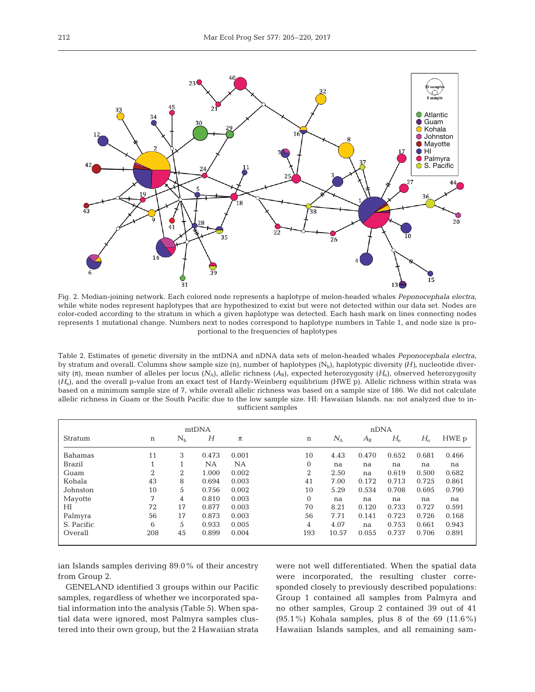

Fig. 2. Median-joining network. Each colored node represents a haplotype of melon-headed whales *Peponocephala electra*, while white nodes represent haplotypes that are hypothesized to exist but were not detected within our data set. Nodes are color-coded according to the stratum in which a given haplotype was detected. Each hash mark on lines connecting nodes represents 1 mutational change. Numbers next to nodes correspond to haplotype numbers in Table 1, and node size is proportional to the frequencies of haplotypes

Table 2. Estimates of genetic diversity in the mtDNA and nDNA data sets of melon-headed whales *Peponocephala electra*, by stratum and overall. Columns show sample size  $(n)$ , number of haplotypes  $(N_h)$ , haplotypic diversity  $(H)$ , nucleotide diversity (π), mean number of alleles per locus  $(N_A)$ , allelic richness  $(A_R)$ , expected heterozygosity  $(H_e)$ , observed heterozygosity (*H*o), and the overall p-value from an exact test of Hardy-Weinberg equilibrium (HWE p). Allelic richness within strata was based on a minimum sample size of 7, while overall allelic richness was based on a sample size of 186. We did not calculate allelic richness in Guam or the South Pacific due to the low sample size. HI: Hawaiian Islands. na: not analyzed due to insufficient samples

|            | mtDNA |         |       |       | nDNA                                                                             |
|------------|-------|---------|-------|-------|----------------------------------------------------------------------------------|
| Stratum    | n     | $N_{h}$ | Н     | $\pi$ | $H_{\rm e}$<br>$H_{\rm o}$<br>HWE p<br>$N_{\rm A}$<br>$\mathbf n$<br>$A_{\rm R}$ |
| Bahamas    | 11    | 3       | 0.473 | 0.001 | 10<br>0.681<br>4.43<br>0.470<br>0.652<br>0.466                                   |
| Brazil     |       |         | NA    | NA    | $\mathbf{0}$<br>na<br>na<br>na<br>na<br>na                                       |
| Guam       | 2     | 2       | 1.000 | 0.002 | 2<br>2.50<br>0.619<br>0.500<br>0.682<br>na                                       |
| Kohala     | 43    | 8       | 0.694 | 0.003 | 41<br>7.00<br>0.172<br>0.713<br>0.725<br>0.861                                   |
| Johnston   | 10    | 5       | 0.756 | 0.002 | 10<br>5.29<br>0.790<br>0.534<br>0.708<br>0.695                                   |
| Mayotte    | 7     | 4       | 0.810 | 0.003 | $\Omega$<br>na<br>na<br>na<br>na<br>na                                           |
| НI         | 72    | 17      | 0.877 | 0.003 | 70<br>8.21<br>0.120<br>0.733<br>0.727<br>0.591                                   |
| Palmyra    | 56    | 17      | 0.873 | 0.003 | 7.71<br>56<br>0.723<br>0.141<br>0.726<br>0.168                                   |
| S. Pacific | 6     | 5       | 0.933 | 0.005 | 4.07<br>0.661<br>0.753<br>0.943<br>4<br>na                                       |
| Overall    | 208   | 45      | 0.899 | 0.004 | 193<br>10.57<br>0.055<br>0.737<br>0.706<br>0.891                                 |

ian Islands samples deriving 89.0% of their ancestry from Group 2.

GENELAND identified 3 groups within our Pacific samples, regardless of whether we incorporated spatial information into the analysis (Table 5). When spatial data were ignored, most Palmyra samples clustered into their own group, but the 2 Hawaiian strata were not well differentiated. When the spatial data were incorporated, the resulting cluster corresponded closely to previously described populations: Group 1 contained all samples from Palmyra and no other samples, Group 2 contained 39 out of 41  $(95.1\%)$  Kohala samples, plus 8 of the 69  $(11.6\%)$ Hawaiian Islands samples, and all remaining sam-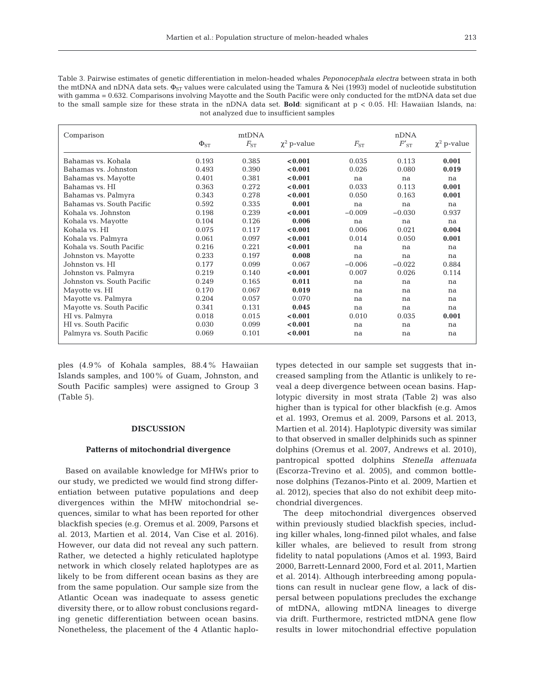Table 3. Pairwise estimates of genetic differentiation in melon-headed whales *Peponocephala electra* between strata in both the mtDNA and nDNA data sets.  $\Phi_{ST}$  values were calculated using the Tamura & Nei (1993) model of nucleotide substitution with gamma = 0.632. Comparisons involving Mayotte and the South Pacific were only conducted for the mtDNA data set due to the small sample size for these strata in the nDNA data set. **Bold**: significant at p < 0.05. HI: Hawaiian Islands, na: not analyzed due to insufficient samples

| Comparison                 |             | mtDNA    |                  |          | nDNA      |                  |
|----------------------------|-------------|----------|------------------|----------|-----------|------------------|
|                            | $\Phi_{ST}$ | $F_{ST}$ | $\chi^2$ p-value | $F_{ST}$ | $F'_{ST}$ | $\chi^2$ p-value |
| Bahamas vs. Kohala         | 0.193       | 0.385    | < 0.001          | 0.035    | 0.113     | 0.001            |
| Bahamas vs. Johnston       | 0.493       | 0.390    | < 0.001          | 0.026    | 0.080     | 0.019            |
| Bahamas vs. Mayotte        | 0.401       | 0.381    | < 0.001          | na       | na        | na               |
| Bahamas vs. HI             | 0.363       | 0.272    | < 0.001          | 0.033    | 0.113     | 0.001            |
| Bahamas vs. Palmyra        | 0.343       | 0.278    | < 0.001          | 0.050    | 0.163     | 0.001            |
| Bahamas vs. South Pacific  | 0.592       | 0.335    | 0.001            | na       | na        | na               |
| Kohala vs. Johnston        | 0.198       | 0.239    | < 0.001          | $-0.009$ | $-0.030$  | 0.937            |
| Kohala vs. Mayotte         | 0.104       | 0.126    | 0.006            | na       | na        | na               |
| Kohala vs. HI              | 0.075       | 0.117    | < 0.001          | 0.006    | 0.021     | 0.004            |
| Kohala vs. Palmyra         | 0.061       | 0.097    | < 0.001          | 0.014    | 0.050     | 0.001            |
| Kohala vs. South Pacific   | 0.216       | 0.221    | < 0.001          | na       | na        | na               |
| Johnston vs. Mayotte       | 0.233       | 0.197    | 0.008            | na       | na        | na               |
| Johnston vs. HI            | 0.177       | 0.099    | 0.067            | $-0.006$ | $-0.022$  | 0.884            |
| Johnston vs. Palmyra       | 0.219       | 0.140    | < 0.001          | 0.007    | 0.026     | 0.114            |
| Johnston vs. South Pacific | 0.249       | 0.165    | 0.011            | na       | na        | na               |
| Mayotte vs. HI             | 0.170       | 0.067    | 0.019            | na       | na        | na               |
| Mayotte vs. Palmyra        | 0.204       | 0.057    | 0.070            | na       | na        | na               |
| Mayotte vs. South Pacific  | 0.341       | 0.131    | 0.045            | na       | na        | na               |
| HI vs. Palmyra             | 0.018       | 0.015    | < 0.001          | 0.010    | 0.035     | 0.001            |
| HI vs. South Pacific       | 0.030       | 0.099    | < 0.001          | na       | na        | na               |
| Palmyra vs. South Pacific  | 0.069       | 0.101    | < 0.001          | na       | na        | na               |

ples (4.9% of Kohala samples, 88.4% Hawaiian Islands samples, and 100% of Guam, Johnston, and South Pacific samples) were assigned to Group 3 (Table 5).

# **DISCUSSION**

#### **Patterns of mitochondrial divergence**

Based on available knowledge for MHWs prior to our study, we predicted we would find strong differentiation between putative populations and deep divergences within the MHW mitochondrial sequences, similar to what has been reported for other blackfish species (e.g. Oremus et al. 2009, Parsons et al. 2013, Martien et al. 2014, Van Cise et al. 2016). However, our data did not reveal any such pattern. Rather, we detected a highly reticulated haplotype network in which closely related haplotypes are as likely to be from different ocean basins as they are from the same population. Our sample size from the Atlantic Ocean was inadequate to assess genetic diversity there, or to allow robust conclusions regarding genetic differentiation between ocean basins. Nonetheless, the placement of the 4 Atlantic haplotypes detected in our sample set suggests that increased sampling from the Atlantic is unlikely to re veal a deep divergence between ocean basins. Haplotypic diversity in most strata (Table 2) was also higher than is typical for other blackfish (e.g. Amos et al. 1993, Oremus et al. 2009, Parsons et al. 2013, Martien et al. 2014). Haplotypic diversity was similar to that observed in smaller delphinids such as spinner dolphins (Oremus et al. 2007, Andrews et al. 2010), pantropical spotted dolphins *Stenella attenuata* (Escorza-Trevino et al. 2005), and common bottlenose dolphins (Tezanos-Pinto et al. 2009, Martien et al. 2012), species that also do not exhibit deep mitochondrial divergences.

The deep mitochondrial divergences observed within previously studied blackfish species, including killer whales, long-finned pilot whales, and false killer whales, are believed to result from strong fidelity to natal populations (Amos et al. 1993, Baird 2000, Barrett-Lennard 2000, Ford et al. 2011, Martien et al. 2014). Although interbreeding among populations can result in nuclear gene flow, a lack of dis persal between populations precludes the exchange of mtDNA, allowing mtDNA lineages to diverge via drift. Furthermore, restricted mtDNA gene flow results in lower mitochondrial effective population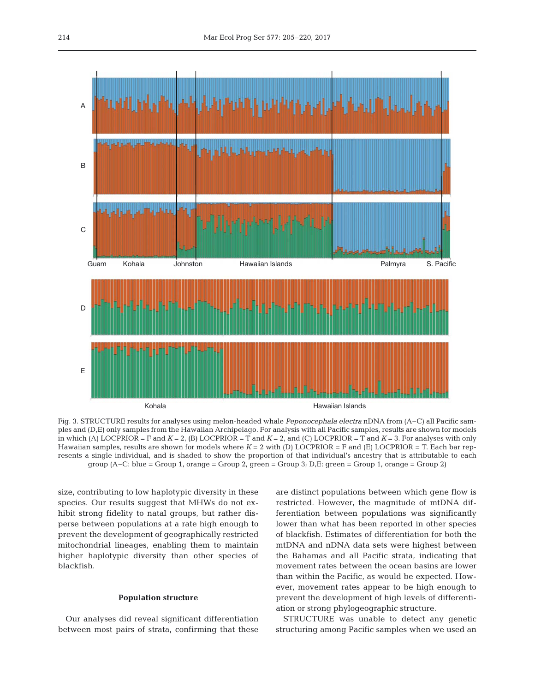

Fig. 3. STRUCTURE results for analyses using melon-headed whale *Peponocephala electra* nDNA from (A−C) all Pacific samples and (D,E) only samples from the Hawaiian Archipelago. For analysis with all Pacific samples, results are shown for models in which (A) LOCPRIOR = F and  $K = 2$ , (B) LOCPRIOR = T and  $K = 2$ , and (C) LOCPRIOR = T and  $K = 3$ . For analyses with only Hawaiian samples, results are shown for models where *K* = 2 with (D) LOCPRIOR = F and (E) LOCPRIOR = T. Each bar represents a single individual, and is shaded to show the proportion of that individual's ancestry that is attributable to each group (A−C: blue = Group 1, orange = Group 2, green = Group 3; D,E: green = Group 1, orange = Group 2)

size, contributing to low haplotypic diversity in these species. Our results suggest that MHWs do not exhibit strong fidelity to natal groups, but rather disperse between populations at a rate high enough to prevent the development of geographically restricted mitochondrial lineages, enabling them to maintain higher haplotypic diversity than other species of blackfish.

# **Population structure**

Our analyses did reveal significant differentiation between most pairs of strata, confirming that these are distinct populations between which gene flow is restricted. However, the magnitude of mtDNA dif ferentiation between populations was significantly lower than what has been reported in other species of blackfish. Estimates of differentiation for both the mtDNA and nDNA data sets were highest between the Bahamas and all Pacific strata, indicating that movement rates between the ocean basins are lower than within the Pacific, as would be expected. However, movement rates appear to be high enough to prevent the development of high levels of differentiation or strong phylogeographic structure.

STRUCTURE was unable to detect any genetic structuring among Pacific samples when we used an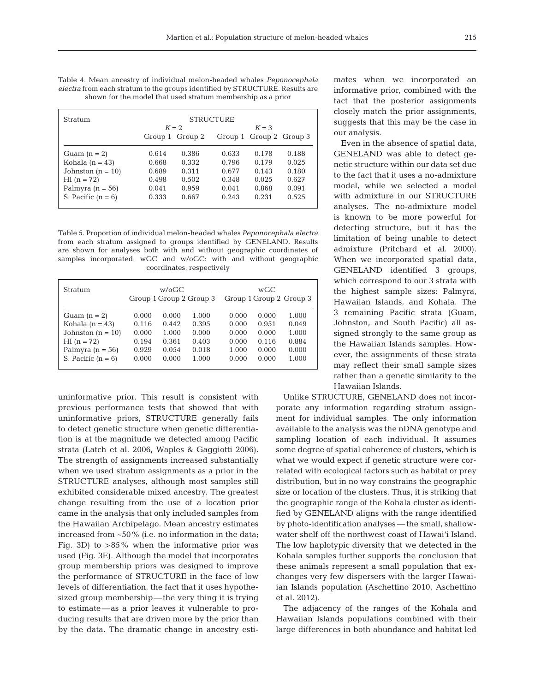| <b>Stratum</b>        | <b>STRUCTURE</b> |                 |         |                         |       |  |  |  |
|-----------------------|------------------|-----------------|---------|-------------------------|-------|--|--|--|
|                       |                  | $K = 2$         | $K = 3$ |                         |       |  |  |  |
|                       |                  | Group 1 Group 2 |         | Group 1 Group 2 Group 3 |       |  |  |  |
| Guam $(n = 2)$        | 0.614            | 0.386           | 0.633   | 0.178                   | 0.188 |  |  |  |
| Kohala $(n = 43)$     | 0.668            | 0.332           | 0.796   | 0.179                   | 0.025 |  |  |  |
| Johnston ( $n = 10$ ) | 0.689            | 0.311           | 0.677   | 0.143                   | 0.180 |  |  |  |
| $HI (n = 72)$         | 0.498            | 0.502           | 0.348   | 0.025                   | 0.627 |  |  |  |
| Palmyra $(n = 56)$    | 0.041            | 0.959           | 0.041   | 0.868                   | 0.091 |  |  |  |
| S. Pacific $(n = 6)$  | 0.333            | 0.667           | 0.243   | 0.231                   | 0.525 |  |  |  |

Table 4. Mean ancestry of individual melon-headed whales *Peponocephala electra* from each stratum to the groups identified by STRUCTURE. Results are shown for the model that used stratum membership as a prior

Table 5. Proportion of individual melon-headed whales *Peponocephala electra* from each stratum assigned to groups identified by GENELAND. Results are shown for analyses both with and without geographic coordinates of samples incorporated. wGC and w/oGC: with and without geographic coordinates, respectively

| <b>Stratum</b>        | $w/6$ GC<br>Group 1 Group 2 Group 3 |       |       | wGC<br>Group 1 Group 2 Group 3 |       |       |  |
|-----------------------|-------------------------------------|-------|-------|--------------------------------|-------|-------|--|
| Guam $(n = 2)$        | 0.000                               | 0.000 | 1.000 | 0.000                          | 0.000 | 1.000 |  |
| Kohala $(n = 43)$     | 0.116                               | 0.442 | 0.395 | 0.000                          | 0.951 | 0.049 |  |
| Johnston ( $n = 10$ ) | 0.000                               | 1.000 | 0.000 | 0.000                          | 0.000 | 1.000 |  |
| $HI (n = 72)$         | 0.194                               | 0.361 | 0.403 | 0.000                          | 0.116 | 0.884 |  |
| Palmyra $(n = 56)$    | 0.929                               | 0.054 | 0.018 | 1.000                          | 0.000 | 0.000 |  |
| S. Pacific $(n = 6)$  | 0.000                               | 0.000 | 1.000 | 0.000                          | 0.000 | 1.000 |  |

uninformative prior. This result is consistent with previous performance tests that showed that with uninformative priors, STRUCTURE generally fails to detect genetic structure when genetic differentiation is at the magnitude we detected among Pacific strata (Latch et al. 2006, Waples & Gaggiotti 2006). The strength of assignments increased substantially when we used stratum assignments as a prior in the STRUCTURE analyses, although most samples still exhibited considerable mixed ancestry. The greatest change resulting from the use of a location prior came in the analysis that only included samples from the Hawaiian Archipelago. Mean ancestry estimates increased from ~50% (i.e. no information in the data; Fig. 3D) to  $>85\%$  when the informative prior was used (Fig. 3E). Although the model that incorporates group membership priors was designed to improve the performance of STRUCTURE in the face of low levels of differentiation, the fact that it uses hypothesized group membership—the very thing it is trying to estimate—as a prior leaves it vulnerable to producing results that are driven more by the prior than by the data. The dramatic change in ancestry estimates when we incorporated an informative prior, combined with the fact that the posterior assignments closely match the prior assignments, suggests that this may be the case in our analysis.

Even in the absence of spatial data, GENELAND was able to detect ge netic structure within our data set due to the fact that it uses a no-admixture model, while we selected a model with admixture in our STRUCTURE analyses. The no-admixture model is known to be more powerful for detecting structure, but it has the limitation of being unable to detect admixture (Pritchard et al. 2000). When we incorporated spatial data, GENELAND identified 3 groups, which correspond to our 3 strata with the highest sample sizes: Palmyra, Hawaiian Islands, and Kohala. The 3 remaining Pacific strata (Guam, Johnston, and South Pacific) all as signed strongly to the same group as the Hawaiian Islands samples. However, the assignments of these strata may reflect their small sample sizes rather than a genetic similarity to the Hawaiian Islands.

Unlike STRUCTURE, GENELAND does not incorporate any information regarding stratum assignment for individual samples. The only information available to the analysis was the nDNA genotype and sampling location of each individual. It assumes some degree of spatial coherence of clusters, which is what we would expect if genetic structure were correlated with ecological factors such as habitat or prey distribution, but in no way constrains the geographic size or location of the clusters. Thus, it is striking that the geographic range of the Kohala cluster as identified by GENELAND aligns with the range identified by photo-identification analyses — the small, shallowwater shelf off the northwest coast of Hawai'i Island. The low haplotypic diversity that we detected in the Kohala samples further supports the conclusion that these animals represent a small population that exchanges very few dispersers with the larger Hawaiian Islands population (Aschettino 2010, Aschettino et al. 2012).

The adjacency of the ranges of the Kohala and Hawaiian Islands populations combined with their large differences in both abundance and habitat led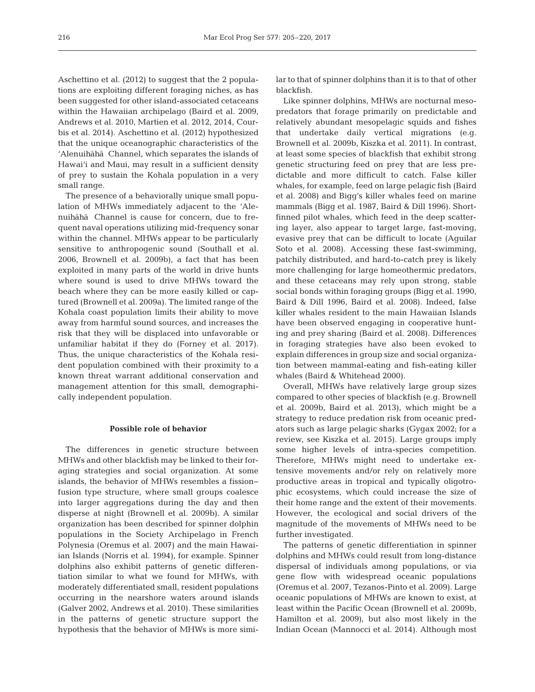Aschettino et al. (2012) to suggest that the 2 populations are exploiting different foraging niches, as has been suggested for other island-associated cetaceans within the Hawaiian archipelago (Baird et al. 2009, Andrews et al. 2010, Martien et al. 2012, 2014, Courbis et al. 2014). Aschettino et al. (2012) hypothesized that the unique oceanographic characteristics of the 'Alenuihāhā Channel, which separates the islands of Hawai'i and Maui, may result in a sufficient density of prey to sustain the Kohala population in a very small range.

The presence of a behaviorally unique small population of MHWs immediately adjacent to the 'Alenuihāhā Channel is cause for concern, due to frequent naval operations utilizing mid-frequency sonar within the channel. MHWs appear to be particularly sensitive to anthropogenic sound (Southall et al. 2006, Brownell et al. 2009b), a fact that has been exploited in many parts of the world in drive hunts where sound is used to drive MHWs toward the beach where they can be more easily killed or captured (Brownell et al. 2009a). The limited range of the Kohala coast population limits their ability to move away from harmful sound sources, and increases the risk that they will be displaced into unfavorable or unfamiliar habitat if they do (Forney et al. 2017). Thus, the unique characteristics of the Kohala resident population combined with their proximity to a known threat warrant additional conservation and management attention for this small, demographically independent population.

## **Possible role of behavior**

The differences in genetic structure between MHWs and other blackfish may be linked to their foraging strategies and social organization. At some islands, the behavior of MHWs resembles a fission− fusion type structure, where small groups coalesce into larger aggregations during the day and then disperse at night (Brownell et al. 2009b). A similar organization has been described for spinner dolphin populations in the Society Archipelago in French Polynesia (Oremus et al. 2007) and the main Hawaiian Islands (Norris et al. 1994), for example. Spinner dolphins also exhibit patterns of genetic differentiation similar to what we found for MHWs, with moderately differentiated small, resident populations oc curring in the nearshore waters around islands (Galver 2002, Andrews et al. 2010). These similarities in the patterns of genetic structure support the hypothesis that the behavior of MHWs is more similar to that of spinner dolphins than it is to that of other blackfish.

Like spinner dolphins, MHWs are nocturnal mesopredators that forage primarily on predictable and relatively abundant mesopelagic squids and fishes that undertake daily vertical migrations (e.g. Brownell et al. 2009b, Kiszka et al. 2011). In contrast, at least some species of blackfish that exhibit strong genetic structuring feed on prey that are less predictable and more difficult to catch. False killer whales, for example, feed on large pelagic fish (Baird et al. 2008) and Bigg's killer whales feed on marine mammals (Bigg et al. 1987, Baird & Dill 1996). Shortfinned pilot whales, which feed in the deep scattering layer, also appear to target large, fast-moving, evasive prey that can be difficult to locate (Aguilar Soto et al. 2008). Accessing these fast-swimming, patchily distributed, and hard-to-catch prey is likely more challenging for large homeothermic predators, and these cetaceans may rely upon strong, stable social bonds within foraging groups (Bigg et al. 1990, Baird & Dill 1996, Baird et al. 2008). Indeed, false killer whales resident to the main Hawaiian Islands have been observed engaging in cooperative hunting and prey sharing (Baird et al. 2008). Differences in foraging strategies have also been evoked to explain differences in group size and social organization between mammal-eating and fish-eating killer whales (Baird & Whitehead 2000).

Overall, MHWs have relatively large group sizes compared to other species of blackfish (e.g. Brownell et al. 2009b, Baird et al. 2013), which might be a strategy to reduce predation risk from oceanic predators such as large pelagic sharks (Gygax 2002; for a review, see Kiszka et al. 2015). Large groups imply some higher levels of intra-species competition. Therefore, MHWs might need to undertake extensive movements and/or rely on relatively more productive areas in tropical and typically oligotrophic ecosystems, which could increase the size of their home range and the extent of their movements. However, the ecological and social drivers of the magnitude of the movements of MHWs need to be further investigated.

The patterns of genetic differentiation in spinner dolphins and MHWs could result from long-distance dispersal of individuals among populations, or via gene flow with widespread oceanic populations (Oremus et al. 2007, Tezanos-Pinto et al. 2009). Large oceanic populations of MHWs are known to exist, at least within the Pacific Ocean (Brownell et al. 2009b, Hamilton et al. 2009), but also most likely in the Indian Ocean (Mannocci et al. 2014). Although most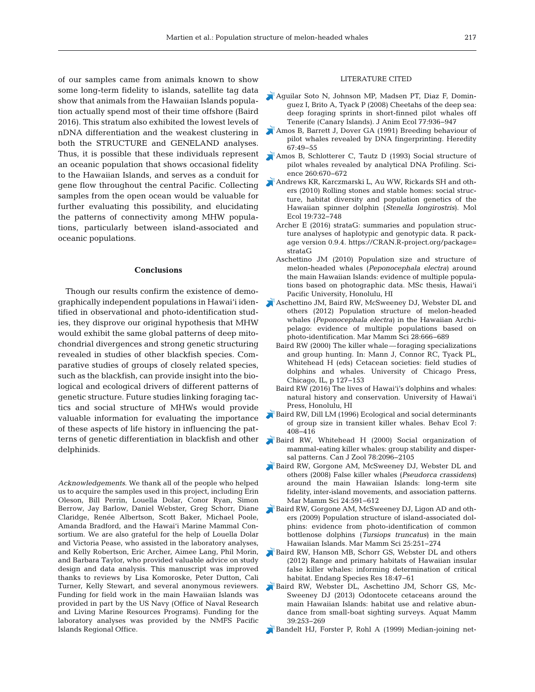of our samples came from animals known to show some long-term fidelity to islands, satellite tag data show that animals from the Hawaiian Islands population actually spend most of their time offshore (Baird 2016). This stratum also exhibited the lowest levels of nDNA differentiation and the weakest clustering in both the STRUCTURE and GENELAND analyses. Thus, it is possible that these individuals represent an oceanic population that shows occasional fidelity to the Hawaiian Islands, and serves as a conduit for gene flow throughout the central Pacific. Collecting samples from the open ocean would be valuable for further evaluating this possibility, and elucidating the patterns of connectivity among MHW populations, particularly between island-associated and oceanic populations.

## **Conclusions**

Though our results confirm the existence of demographically independent populations in Hawai'i identified in observational and photo-identification studies, they disprove our original hypothesis that MHW would exhibit the same global patterns of deep mitochondrial divergences and strong genetic structuring revealed in studies of other blackfish species. Comparative studies of groups of closely related species, such as the blackfish, can provide insight into the biological and ecological drivers of different patterns of genetic structure. Future studies linking foraging tactics and social structure of MHWs would provide valuable information for evaluating the importance of these aspects of life history in influencing the patterns of genetic differentiation in blackfish and other delphinids.

*Acknowledgements*. We thank all of the people who helped us to acquire the samples used in this project, including Erin Oleson, Bill Perrin, Louella Dolar, Conor Ryan, Simon Berrow, Jay Barlow, Daniel Webster, Greg Schorr, Diane Claridge, Renée Albertson, Scott Baker, Michael Poole, Amanda Bradford, and the Hawai'i Marine Mammal Consortium. We are also grateful for the help of Louella Dolar and Victoria Pease, who assisted in the laboratory analyses, and Kelly Robertson, Eric Archer, Aimee Lang, Phil Morin, and Barbara Taylor, who provided valuable advice on study design and data analysis. This manuscript was improved thanks to reviews by Lisa Komoroske, Peter Dutton, Cali Turner, Kelly Stewart, and several anonymous reviewers. Funding for field work in the main Hawaiian Islands was provided in part by the US Navy (Office of Naval Research and Living Marine Resources Programs). Funding for the laboratory analyses was provided by the NMFS Pacific Islands Regional Office.

#### LITERATURE CITED

- Aguilar Soto N, Johnson MP, Madsen PT, Diaz F, Domin guez I, Brito A, Tyack P (2008) Cheetahs of the deep sea: deep foraging sprints in short-finned pilot whales off Tenerife (Canary Islands). J Anim Ecol 77: 936−947
- Amos B, Barrett J, Dover GA (1991) Breeding behaviour of pilot whales revealed by DNA fingerprinting. Heredity 67: 49−55
- Amos B, Schlotterer C, Tautz D (1993) Social structure of pilot whales revealed by analytical DNA Profiling. Science 260:670-672
- Andrews KR, Karczmarski L, Au WW, Rickards SH and others (2010) Rolling stones and stable homes: social structure, habitat diversity and population genetics of the Hawaiian spinner dolphin (*Stenella longirostris*). Mol Ecol 19: 732−748
	- Archer E (2016) strataG: summaries and population structure analyses of haplotypic and genotypic data. R package version 0.9.4. https://CRAN.R-project.org/package= strataG
	- Aschettino JM (2010) Population size and structure of melon-headed whales (*Peponocephala electra*) around the main Hawaiian Islands: evidence of multiple populations based on photographic data. MSc thesis, Hawai'i Pacific University, Honolulu, HI
- Aschettino JM, Baird RW, McSweeney DJ, Webster DL and others (2012) Population structure of melon-headed whales (*Peponocephala electra*) in the Hawaiian Archipelago: evidence of multiple populations based on photo- identification. Mar Mamm Sci 28: 666−689
	- Baird RW (2000) The killer whale—foraging specializations and group hunting. In: Mann J, Connor RC, Tyack PL, Whitehead H (eds) Cetacean societies: field studies of dolphins and whales. University of Chicago Press, Chicago, IL, p 127−153
	- Baird RW (2016) The lives of Hawai'i's dolphins and whales: natural history and conservation. University of Hawai'i Press, Honolulu, HI
- Baird RW, Dill LM (1996) Ecological and social determinants of group size in transient killer whales. Behav Ecol 7: 408−416
- Baird RW, Whitehead H (2000) Social organization of mammal-eating killer whales: group stability and dispersal patterns. Can J Zool 78:2096-2105
- Baird RW, Gorgone AM, McSweeney DJ, Webster DL and others (2008) False killer whales (*Pseudorca crassidens*) around the main Hawaiian Islands: long-term site fidelity, inter-island movements, and association patterns. Mar Mamm Sci 24:591-612
- Baird RW, Gorgone AM, McSweeney DJ, Ligon AD and others (2009) Population structure of island-associated dolphins: evidence from photo-identification of common bottlenose dolphins (*Tursiops truncatus*) in the main Hawaiian Islands. Mar Mamm Sci 25: 251−274
- Baird RW, Hanson MB, Schorr GS, Webster DL and others (2012) Range and primary habitats of Hawaiian insular false killer whales: informing determination of critical habitat. Endang Species Res 18:47–61
- Baird RW, Webster DL, Aschettino JM, Schorr GS, Mc Sweeney DJ (2013) Odontocete cetaceans around the main Hawaiian Islands: habitat use and relative abundance from small-boat sighting surveys. Aquat Mamm 39: 253−269
- Bandelt HJ, Forster P, Rohl A (1999) Median-joining net-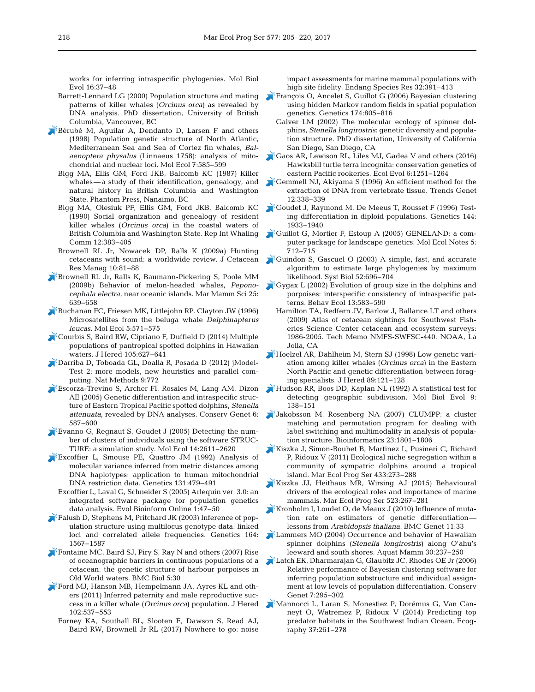works for inferring intraspecific phylogenies. Mol Biol Evol 16: 37−48

- Barrett-Lennard LG (2000) Population structure and mating patterns of killer whales (*Orcinus orca*) as revealed by DNA analysis. PhD dissertation, University of British Columbia, Vancouver, BC
- Bérubé M, Aguilar A, Dendanto D, Larsen F and others (1998) Population genetic structure of North Atlantic, Mediterranean Sea and Sea of Cortez fin whales, *Balaenoptera physalus* (Linnaeus 1758): analysis of mitochondrial and nuclear loci. Mol Ecol 7: 585−599
	- Bigg MA, Ellis GM, Ford JKB, Balcomb KC (1987) Killer whales—a study of their identification, genealogy, and natural history in British Columbia and Washington State, Phantom Press, Nanaimo, BC
	- Bigg MA, Olesiuk PF, Ellis GM, Ford JKB, Balcomb KC (1990) Social organization and genealogy of resident killer whales (*Orcinus orca*) in the coastal waters of British Columbia and Washington State. Rep Int Whaling Comm 12: 383−405
	- Brownell RL Jr, Nowacek DP, Ralls K (2009a) Hunting cetaceans with sound: a worldwide review. J Cetacean Res Manag 10:81-88
- Brownell RL Jr, Ralls K, Baumann-Pickering S, Poole MM (2009b) Behavior of melon-headed whales, *Peponocephala electra*, near oceanic islands. Mar Mamm Sci 25: 639−658
- Buchanan FC, Friesen MK, Littlejohn RP, Clayton JW (1996) Microsatellites from the beluga whale *Delphinapterus leucas.* Mol Ecol 5:571-575
- Courbis S, Baird RW, Cipriano F, Duffield D (2014) Multiple populations of pantropical spotted dolphins in Hawaiian waters. J Hered 105:627-641
- Darriba D, Toboada GL, Doalla R, Posada D (2012) jModel-Test 2: more models, new heuristics and parallel computing. Nat Methods 9:772
- Escorza-Trevino S, Archer FI, Rosales M, Lang AM, Dizon AE (2005) Genetic differentiation and intraspecific structure of Eastern Tropical Pacific spotted dolphins, *Stenella attenuata*, revealed by DNA analyses. Conserv Genet 6: 587−600
- Evanno G, Regnaut S, Goudet J (2005) Detecting the number of clusters of individuals using the software STRUC-TURE: a simulation study. Mol Ecol 14:2611−2620
- Excoffier L, Smouse PE, Quattro JM (1992) Analysis of molecular variance inferred from metric distances among DNA haplotypes: application to human mitochondrial DNA restriction data. Genetics 131: 479−491
	- Excoffier L, Laval G, Schneider S (2005) Arlequin ver. 3.0:an integrated software package for population genetics data analysis. Evol Bioinform Online 1:47-50
- Falush D, Stephens M, Pritchard JK (2003) Inference of population structure using multilocus genotype data: linked loci and correlated allele frequencies. Genetics 164: 1567−1587
- Fontaine MC, Baird SJ, Piry S, Ray N and others (2007) Rise of oceanographic barriers in continuous populations of a cetacean: the genetic structure of harbour porpoises in Old World waters. BMC Biol 5: 30
- Ford MJ, Hanson MB, Hempelmann JA, Ayres KL and others (2011) Inferred paternity and male reproductive success in a killer whale (*Orcinus orca*) population. J Hered 102: 537–553
	- Forney KA, Southall BL, Slooten E, Dawson S, Read AJ, Baird RW, Brownell Jr RL (2017) Nowhere to go: noise

impact assessments for marine mammal populations with high site fidelity. Endang Species Res 32:391–413

- François O, Ancelet S, Guillot G (2006) Bayesian clustering using hidden Markov random fields in spatial population genetics. Genetics 174: 805−816
	- Galver LM (2002) The molecular ecology of spinner dolphins, *Stenella longirostris*: genetic diversity and population structure. PhD dissertation, University of California San Diego, San Diego, CA
- Gaos AR, Lewison RL, Liles MJ, Gadea V and others (2016) Hawksbill turtle terra incognita: conservation genetics of eastern Pacific rookeries. Ecol Evol 6: 1251−1264
- Gemmell NJ, Akiyama S (1996) An efficient method for the extraction of DNA from vertebrate tissue. Trends Genet 12:338−339
- Goudet J, Raymond M, De Meeus T, Rousset F (1996) Testing differentiation in diploid populations. Genetics 144: 1933−1940
- Guillot G, Mortier F, Estoup A (2005) GENELAND:a computer package for landscape genetics. Mol Ecol Notes 5: 712−715
- Guindon S, Gascuel O (2003) A simple, fast, and accurate algorithm to estimate large phylogenies by maximum likelihood. Syst Biol 52: 696−704
- Gygax L (2002) Evolution of group size in the dolphins and porpoises: interspecific consistency of intraspecific patterns. Behav Ecol 13:583-590
	- Hamilton TA, Redfern JV, Barlow J, Ballance LT and others (2009) Atlas of cetacean sightings for Southwest Fisheries Science Center cetacean and ecosystem surveys: 1986-2005. Tech Memo NMFS-SWFSC-440. NOAA, La Jolla, CA
- Hoelzel AR, Dahlheim M, Stern SJ (1998) Low genetic variation among killer whales (*Orcinus orca*) in the Eastern North Pacific and genetic differentiation between foraging specialists. J Hered 89: 121−128
- Hudson RR, Boos DD, Kaplan NL (1992) A statistical test for detecting geographic subdivision. Mol Biol Evol 9: 138−151
- Jakobsson M, Rosenberg NA (2007) CLUMPP:a cluster matching and permutation program for dealing with label switching and multimodality in analysis of population structure. Bioinformatics 23: 1801−1806
- Kiszka J, Simon-Bouhet B, Martinez L, Pusineri C, Richard P, Ridoux V (2011) Ecological niche segregation within a community of sympatric dolphins around a tropical island. Mar Ecol Prog Ser 433: 273−288
- Kiszka JJ, Heithaus MR, Wirsing AJ (2015) Behavioural drivers of the ecological roles and importance of marine mammals. Mar Ecol Prog Ser 523:267-281
- Kronholm I, Loudet O, de Meaux J (2010) Influence of mutation rate on estimators of genetic differentiation lessons from *Arabidopsis thaliana*. BMC Genet 11:33
- Lammers MO (2004) Occurrence and behavior of Hawaiian spinner dolphins (*Stenella longirostris*) along O'ahu's leeward and south shores. Aquat Mamm 30:237-250
- Latch EK, Dharmarajan G, Glaubitz JC, Rhodes OE Jr (2006) Relative performance of Bayesian clustering software for inferring population substructure and individual assignment at low levels of population differentiation. Conserv Genet 7: 295−302
- Mannocci L, Laran S, Monestiez P, Dorémus G, Van Canneyt O, Watremez P, Ridoux V (2014) Predicting top predator habitats in the Southwest Indian Ocean. Ecography 37:261-278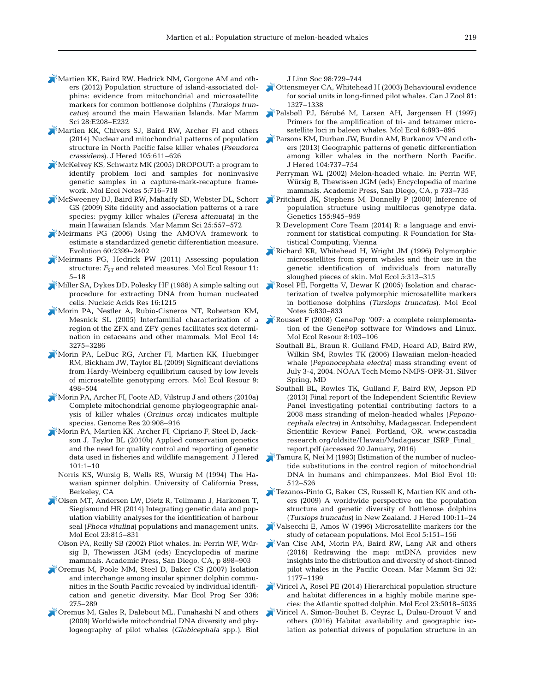- Martien KK, Baird RW, Hedrick NM, Gorgone AM and others (2012) Population structure of island-associated dolphins: evidence from mitochondrial and microsatellite markers for common bottlenose dolphins (*Tursiops truncatus*) around the main Hawaiian Islands. Mar Mamm Sci 28: E208–E232
- Martien KK, Chivers SJ, Baird RW, Archer FI and others (2014) Nuclear and mitochondrial patterns of population structure in North Pacific false killer whales (*Pseudorca crassidens*). J Hered 105:611-626
- McKelvey KS, Schwartz MK (2005) DROPOUT:a program to identify problem loci and samples for noninvasive genetic samples in a capture-mark-recapture framework. Mol Ecol Notes 5: 716−718
- McSweeney DJ, Baird RW, Mahaffy SD, Webster DL, Schorr GS (2009) Site fidelity and association patterns of a rare species:pygmy killer whales (*Feresa attenuata*) in the main Hawaiian Islands. Mar Mamm Sci 25: 557−572
- Meirmans PG (2006) Using the AMOVA framework to estimate a standardized genetic differentiation measure. Evolution 60:2399-2402
- Meirmans PG, Hedrick PW (2011) Assessing population structure:  $F_{ST}$  and related measures. Mol Ecol Resour 11: 5−18
- Miller SA, Dykes DD, Polesky HF (1988) A simple salting out procedure for extracting DNA from human nucleated cells. Nucleic Acids Res 16: 1215
- Morin PA, Nestler A, Rubio-Cisneros NT, Robertson KM, Mesnick SL (2005) Interfamilial characterization of a region of the ZFX and ZFY genes facilitates sex determination in cetaceans and other mammals. Mol Ecol 14: 3275−3286
- Morin PA, LeDuc RG, Archer FI, Martien KK, Huebinger RM, Bickham JW, Taylor BL (2009) Significant deviations from Hardy-Weinberg equilibrium caused by low levels of microsatellite genotyping errors. Mol Ecol Resour 9: 498−504
- Morin PA, Archer FI, Foote AD, Vilstrup J and others (2010a) Complete mitochondrial genome phylogeographic anal ysis of killer whales (*Orcinus orca*) indicates multiple species. Genome Res 20: 908−916
- Morin PA, Martien KK, Archer FI, Cipriano F, Steel D, Jackson J, Taylor BL (2010b) Applied conservation genetics and the need for quality control and reporting of genetic data used in fisheries and wildlife management. J Hered 101: 1−10
	- Norris KS, Wursig B, Wells RS, Wursig M (1994) The Ha waiian spinner dolphin. University of California Press, Berkeley, CA
- Olsen MT, Andersen LW, Dietz R, Teilmann J, Harkonen T, Siegismund HR (2014) Integrating genetic data and population viability analyses for the identification of harbour seal (*Phoca vitulina*) populations and management units. Mol Ecol 23:815-831
	- Olson PA, Reilly SB (2002) Pilot whales. In: Perrin WF, Würsig B, Thewissen JGM (eds) Encyclopedia of marine mammals. Academic Press, San Diego, CA, p 898−903
- Oremus M, Poole MM, Steel D, Baker CS (2007) Isolation and interchange among insular spinner dolphin communities in the South Pacific revealed by individual identification and genetic diversity. Mar Ecol Prog Ser 336: 275−289
- Oremus M, Gales R, Dalebout ML, Funahashi N and others (2009) Worldwide mitochondrial DNA diversity and phylogeography of pilot whales (*Globicephala* spp.*).* Biol

J Linn Soc 98: 729−744

- Ottensmeyer CA, Whitehead H (2003) Behavioural evidence for social units in long-finned pilot whales. Can J Zool 81: 1327−1338
- Palsbøll PJ, Bérubé M, Larsen AH, Jørgensen H (1997) Primers for the amplification of tri- and tetramer microsatellite loci in baleen whales. Mol Ecol 6:893-895
- Parsons KM, Durban JW, Burdin AM, Burkanov VN and others (2013) Geographic patterns of genetic differentiation among killer whales in the northern North Pacific. J Hered 104:737-754
	- Perryman WL (2002) Melon-headed whale. In: Perrin WF, Würsig B, Thewissen JGM (eds) Encyclopedia of marine mammals. Academic Press, San Diego, CA, p 733−735
- Pritchard JK, Stephens M, Donnelly P (2000) Inference of population structure using multilocus genotype data. Genetics 155:945-959
	- R Development Core Team (2014) R: a language and environment for statistical computing. R Foundation for Statistical Computing, Vienna
- Richard KR, Whitehead H, Wright JM (1996) Polymorphic microsatellites from sperm whales and their use in the genetic identification of individuals from naturally sloughed pieces of skin. Mol Ecol 5:313–315
- Rosel PE, Forgetta V, Dewar K (2005) Isolation and characterization of twelve polymorphic microsatellite markers in bottlenose dolphins (*Tursiops truncatus*). Mol Ecol Notes 5: 830−833
- Rousset F (2008) GenePop '007:a complete reimplementation of the GenePop software for Windows and Linux. Mol Ecol Resour 8: 103−106
	- Southall BL, Braun R, Gulland FMD, Heard AD, Baird RW, Wilkin SM, Rowles TK (2006) Hawaiian melon-headed whale (*Peponocephala electra*) mass stranding event of July 3-4, 2004. NOAA Tech Memo NMFS-OPR-31. Silver Spring, MD
	- Southall BL, Rowles TK, Gulland F, Baird RW, Jepson PD (2013) Final report of the Independent Scientific Review Panel investigating potential contributing factors to a 2008 mass stranding of melon-headed whales (*Peponocephala electra*) in Antsohihy, Madagascar. Independent Scientific Review Panel, Portland, OR. www.cascadia research.org/oldsite/Hawaii/Madagascar\_ISRP\_Final\_ report.pdf (accessed 20 January, 2016)
- Tamura K, Nei M (1993) Estimation of the number of nucleotide substitutions in the control region of mitochondrial DNA in humans and chimpanzees. Mol Biol Evol 10: 512−526
- Tezanos-Pinto G, Baker CS, Russell K, Martien KK and others (2009) A worldwide perspective on the population structure and genetic diversity of bottlenose dolphins (*Tursiops truncatus*) in New Zealand. J Hered 100: 11−24
- Valsecchi E, Amos W (1996) Microsatellite markers for the study of cetacean populations. Mol Ecol 5: 151−156
- Van Cise AM, Morin PA, Baird RW, Lang AR and others (2016) Redrawing the map: mtDNA provides new insights into the distribution and diversity of short-finned pilot whales in the Pacific Ocean. Mar Mamm Sci 32: 1177−1199
- Viricel A, Rosel PE (2014) Hierarchical population structure and habitat differences in a highly mobile marine species: the Atlantic spotted dolphin. Mol Ecol 23:5018-5035
- Viricel A, Simon-Bouhet B, Ceyrac L, Dulau-Drouot V and others (2016) Habitat availability and geographic isolation as potential drivers of population structure in an